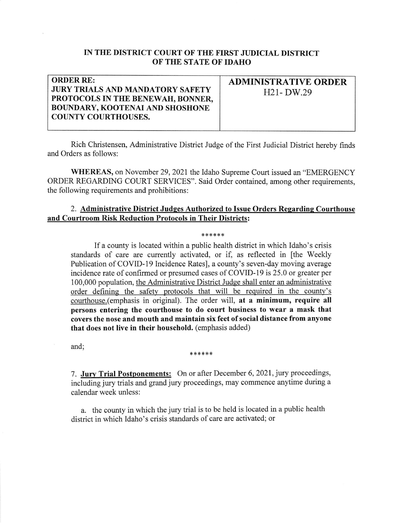## IN THE DISTRICT COURT OF THE FIRST JUDICIAL DISTRICT OF TIIE STATE OF IDAHO

## **ORDER RE:** JURY TRIALS AND MANDATORY SAFETY PROTOCOLS IN THE BENEWAH, BONNER, BOUNDARY, KOOTENAI AND SHOSHONE COUNTY COURTHOUSES.

ADMINISTRATIVE ORDER  $H21-DW.29$ 

Rich Christensen, Administrative District Judge of the First Judicial District hereby finds and Orders as follows:

WHEREAS, on November 29,2021 the Idaho Supreme Court issued an "EMERGENCY ORDER REGARDING COURT SERVICES". Said Order contained, among other requirements, the following requirements and prohibitions:

## 2. Administrative District Judges Authorized to Issue Orders Regarding Courthouse and Courtroom Risk Reduction Protocols in Their Districts:

## \*\*\*\*\*\*

If a county is located within a public health district in which Idaho's crisis standards of care are currently activated, or if, as reflected in [the Weekly Publication of COVID-19 Incidence Rates], a county's seven-day moving average incidence rate of confirmed or presumed cases of COVID-19 is 25.0 or greater per 100,000 population, the Administrative District Judge shall enter an administrative order defining the safety protocols that will be required in the county's courthouse.(emphasis in original). The order will, at a minimum, require all persons entering the courthouse to do court business to wear a mask that covers the nose and mouth and maintain six feet of social distance from anyone that does not live in their household. (emphasis added)

and;

\*\*\*\*\*\*

7. Jury Trial Postponements: On or after December 6,2021, jury proceedings, including jury trials and grand jury proceedings, may commence anytime during a calendar week unless:

a. the county in which the jury trial is to be held is located in a public health district in which Idaho's crisis standards of care are activated: or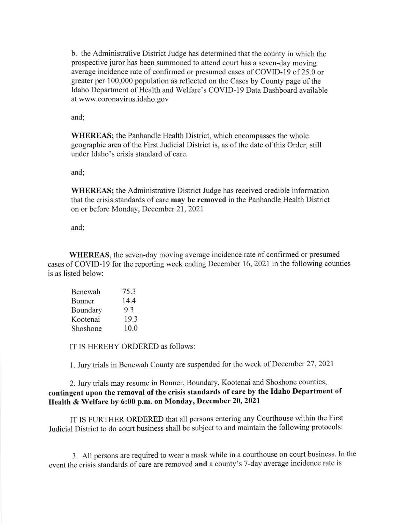b. the Administrative District Judge has determined that the county in which the prospective juror has been summoned to attend court has a seven-day moving average incidence rate of confirmed or presumed cases of COVID-19 of 25.0 or greater per 100,000 population as reflected on the Cases by County page of the Idaho Department of Health and Welfare's COVID-19 Data Dashboard available at www.coronavirus.idaho. gov

and

WHEREAS; the Panhandle Health District, which encompasses the whole geographic area of the First Judicial District is, as of the date of this Order, still under Idaho's crisis standard of care.

and;

WHEREAS; the Administrative District Judge has received credible information that the crisis standards of care may be removed in the Panhandle Health District on or before Monday, December 21,2021

and;

WHEREAS, the seven-day moving average incidence rate of confirmed or presumed cases of COVID-I9 for the reporting week ending December 16,2021 in the following counties is as listed below:

| Benewah  | 75.3 |
|----------|------|
| Bonner   | 14.4 |
| Boundary | 93   |
| Kootenai | 19.3 |
| Shoshone | 10.0 |

IT IS HEREBY ORDERED as follows:

I . Jury trials in Benewah County are suspended for the week of December 27 ,2021

2. Jury trials may resume in Bonner, Boundary, Kootenai and Shoshone counties, contingent upon the removal of the crisis standards of care by the Idaho Department of Health & Welfare by 6:00 p.m. on Monday, December 20, 2021

IT IS FURTHER ORDERED that all persons entering any courthouse within the First Judicial District to do court business shall be subject to and maintain the following protocols:

3. All persons are required to wear a mask while in a courthouse on court business. In the event the crisis standards of care are removed and a county's 7 -day average incidence rate is